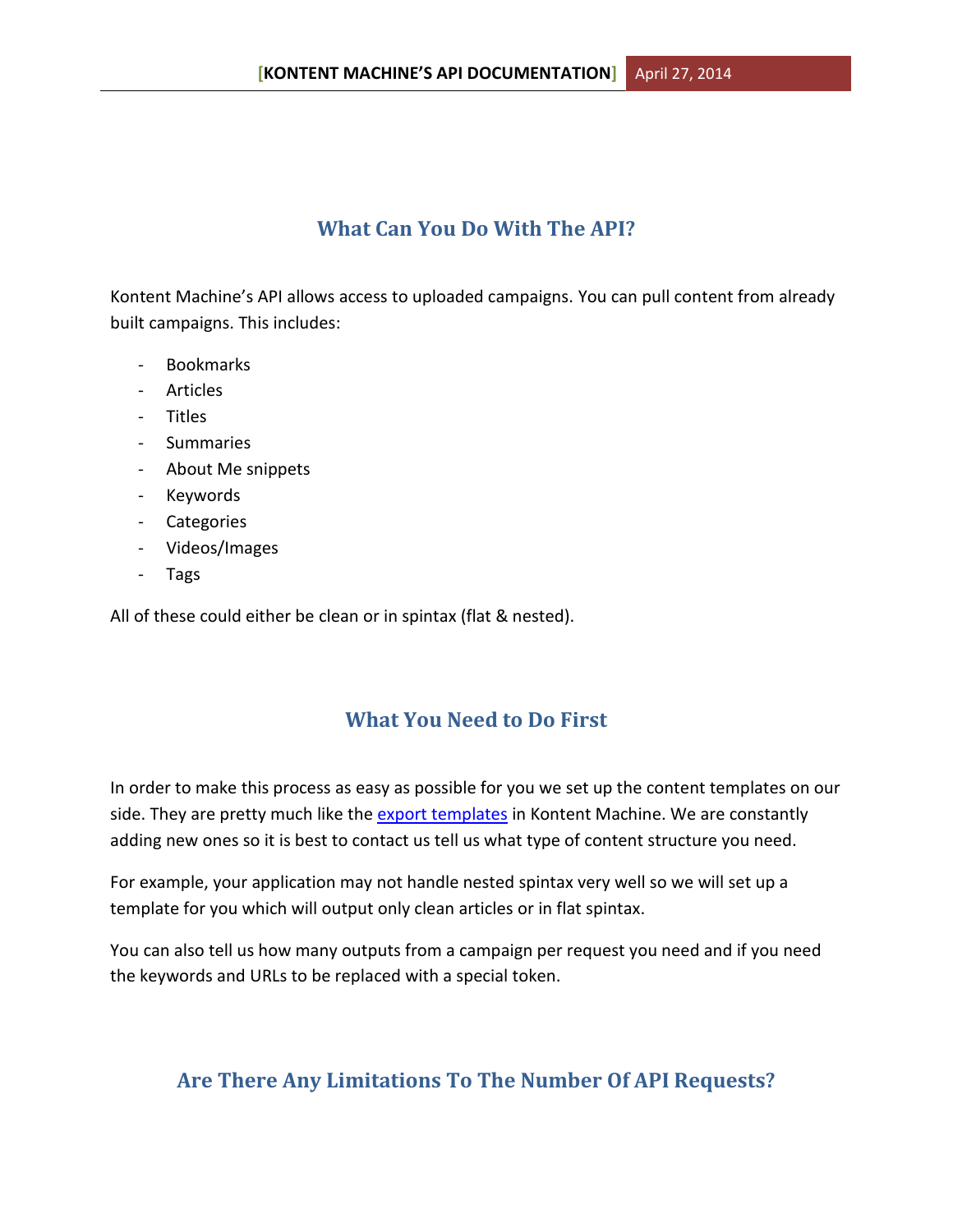## **What Can You Do With The API?**

Kontent Machine's API allows access to uploaded campaigns. You can pull content from already built campaigns. This includes:

- Bookmarks
- Articles
- Titles
- Summaries
- About Me snippets
- Keywords
- Categories
- Videos/Images
- Tags

All of these could either be clean or in spintax (flat & nested).

## **What You Need to Do First**

In order to make this process as easy as possible for you we set up the content templates on our side. They are pretty much like the [export templates](http://kontentmachine.com/forum/help-tips-tutorials/how-to-build-your-own-export-templates/) in Kontent Machine. We are constantly adding new ones so it is best to contact us tell us what type of content structure you need.

For example, your application may not handle nested spintax very well so we will set up a template for you which will output only clean articles or in flat spintax.

You can also tell us how many outputs from a campaign per request you need and if you need the keywords and URLs to be replaced with a special token.

## **Are There Any Limitations To The Number Of API Requests?**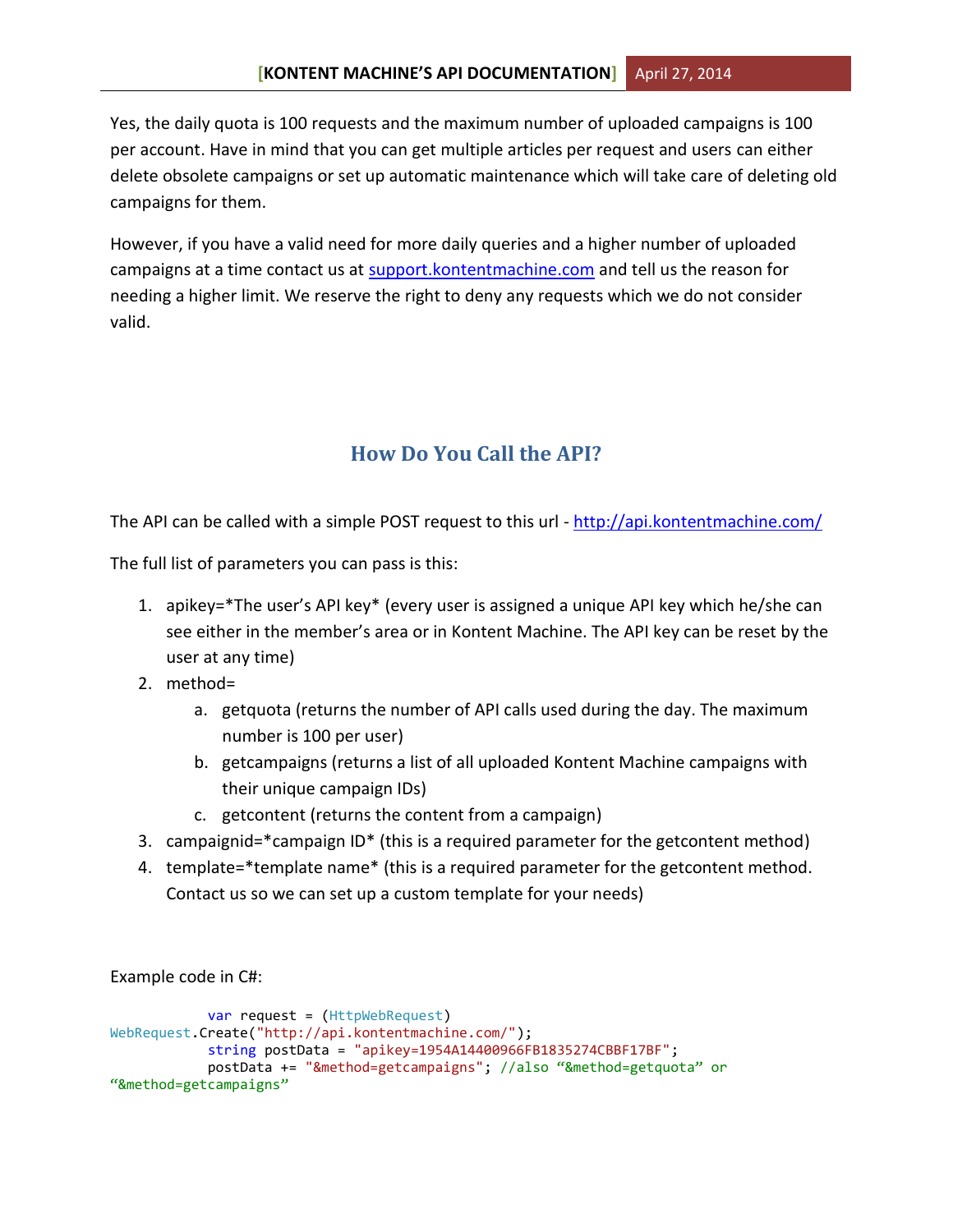Yes, the daily quota is 100 requests and the maximum number of uploaded campaigns is 100 per account. Have in mind that you can get multiple articles per request and users can either delete obsolete campaigns or set up automatic maintenance which will take care of deleting old campaigns for them.

However, if you have a valid need for more daily queries and a higher number of uploaded campaigns at a time contact us at [support.kontentmachine.com](http://support.kontentmachine.com/) and tell us the reason for needing a higher limit. We reserve the right to deny any requests which we do not consider valid.

# **How Do You Call the API?**

The API can be called with a simple POST request to this url - <http://api.kontentmachine.com/>

The full list of parameters you can pass is this:

- 1. apikey=\*The user's API key\* (every user is assigned a unique API key which he/she can see either in the member's area or in Kontent Machine. The API key can be reset by the user at any time)
- 2. method=
	- a. getquota (returns the number of API calls used during the day. The maximum number is 100 per user)
	- b. getcampaigns (returns a list of all uploaded Kontent Machine campaigns with their unique campaign IDs)
	- c. getcontent (returns the content from a campaign)
- 3. campaignid=\*campaign ID\* (this is a required parameter for the getcontent method)
- 4. template=\*template name\* (this is a required parameter for the getcontent method. Contact us so we can set up a custom template for your needs)

Example code in C#:

```
 var request = (HttpWebRequest) 
WebRequest.Create("http://api.kontentmachine.com/");
             string postData = "apikey=1954A14400966FB1835274CBBF17BF";
             postData += "&method=getcampaigns"; //also "&method=getquota" or 
"&method=getcampaigns"
```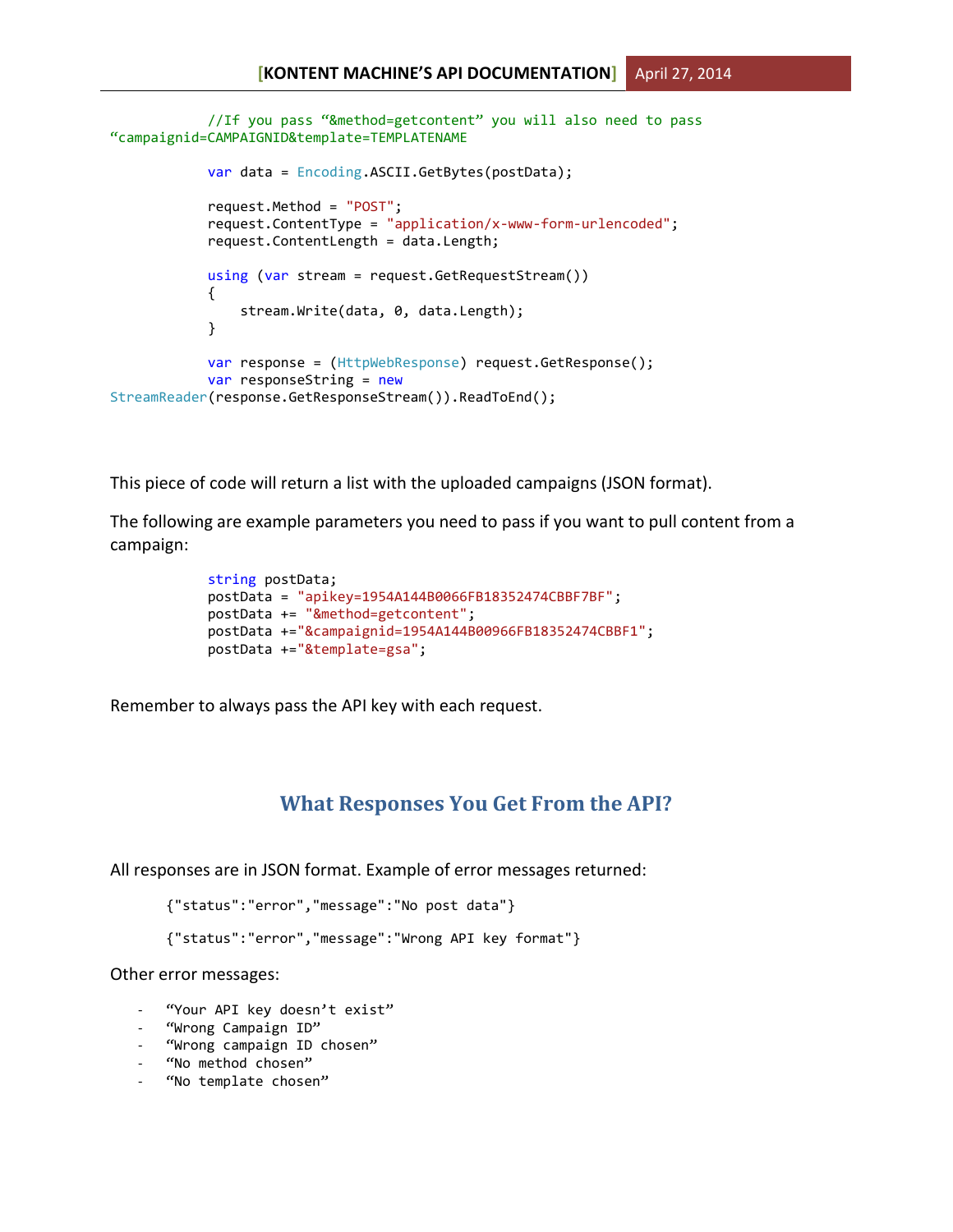```
 //If you pass "&method=getcontent" you will also need to pass 
"campaignid=CAMPAIGNID&template=TEMPLATENAME
            var data = Encoding.ASCII.GetBytes(postData);
            request.Method = "POST";
            request.ContentType = "application/x-www-form-urlencoded";
            request.ContentLength = data.Length;
            using (var stream = request.GetRequestStream())
\{ stream.Write(data, 0, data.Length);
 }
            var response = (HttpWebResponse) request.GetResponse();
            var responseString = new
StreamReader(response.GetResponseStream()).ReadToEnd();
```
This piece of code will return a list with the uploaded campaigns (JSON format).

The following are example parameters you need to pass if you want to pull content from a campaign:

```
 string postData;
 postData = "apikey=1954A144B0066FB18352474CBBF7BF";
 postData += "&method=getcontent";
 postData +="&campaignid=1954A144B00966FB18352474CBBF1";
 postData +="&template=gsa";
```
Remember to always pass the API key with each request.

### **What Responses You Get From the API?**

All responses are in JSON format. Example of error messages returned:

```
{"status":"error","message":"No post data"}
```

```
{"status":"error","message":"Wrong API key format"}
```
Other error messages:

- "Your API key doesn't exist"
- "Wrong Campaign ID"
- "Wrong campaign ID chosen"
- "No method chosen"
- "No template chosen"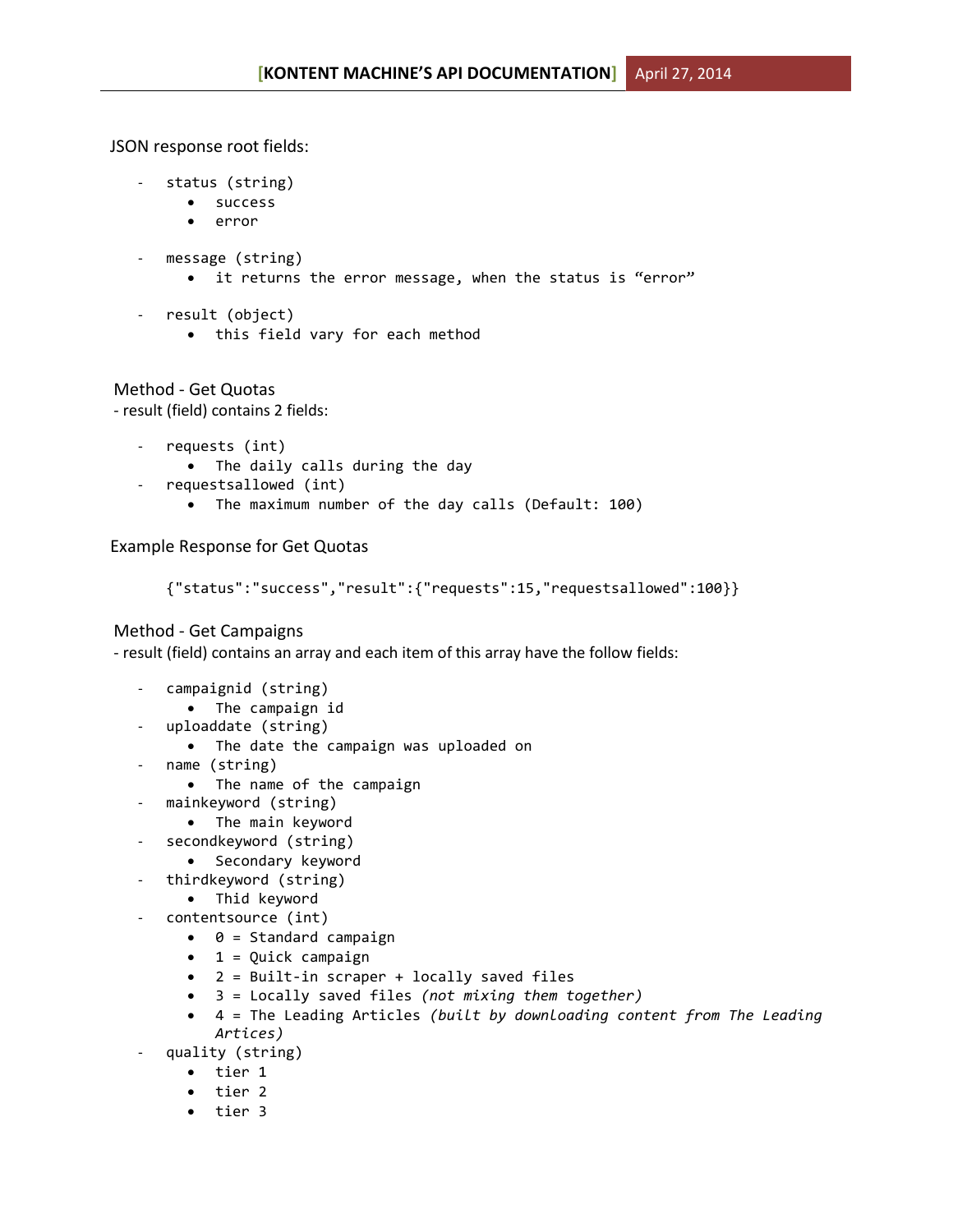JSON response root fields:

- status (string)
	- success
	- error
- message (string)
	- it returns the error message, when the status is "error"
- result (object)
	- this field vary for each method

Method - Get Quotas - result (field) contains 2 fields:

- requests (int)
	- The daily calls during the day
- requestsallowed (int)
	- The maximum number of the day calls (Default: 100)

Example Response for Get Quotas

```
{"status":"success","result":{"requests":15,"requestsallowed":100}}
```
### Method - Get Campaigns

- result (field) contains an array and each item of this array have the follow fields:

- campaignid (string)
	- The campaign id
- uploaddate (string)
	- The date the campaign was uploaded on
- name (string)
	- The name of the campaign
- mainkeyword (string)
	- The main keyword
	- secondkeyword (string)
		- Secondary keyword
- thirdkeyword (string)
	- Thid keyword
	- contentsource (int)
		- $\bullet$  0 = Standard campaign
		- $\bullet$  1 = Quick campaign
		- 2 = Built-in scraper + locally saved files
		- 3 = Locally saved files *(not mixing them together)*
		- 4 = The Leading Articles *(built by downloading content from The Leading Artices)*
- quality (string)
	- tier 1
	- tier 2
	- tier 3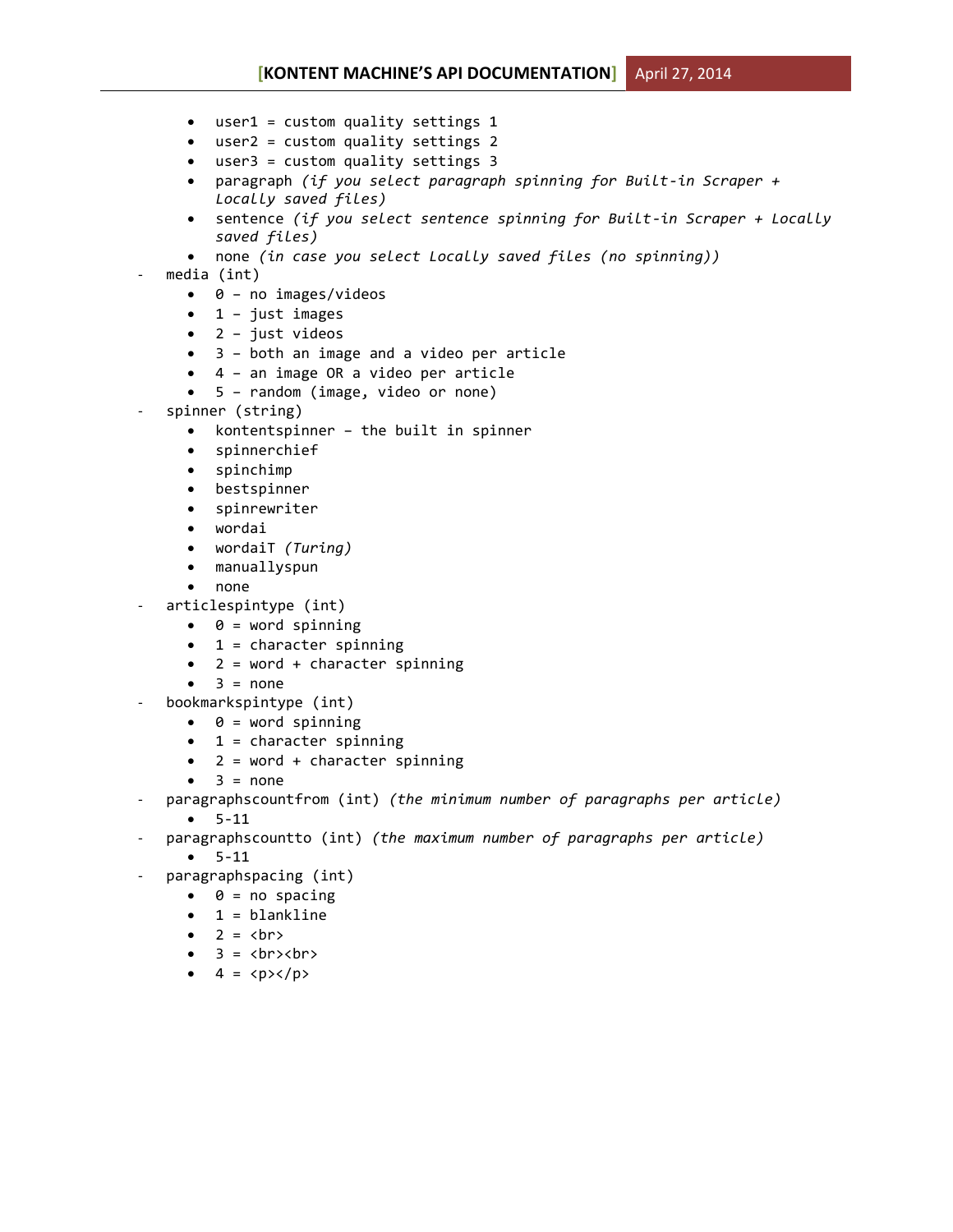- user1 = custom quality settings 1
- user2 = custom quality settings 2
- user3 = custom quality settings 3
- paragraph *(if you select paragraph spinning for Built-in Scraper + Locally saved files)*
- sentence *(if you select sentence spinning for Built-in Scraper + Locally saved files)*
- none *(in case you select Locally saved files (no spinning))*

#### media (int)

- $\bullet$  0 no images/videos
- $\bullet$  1 just images
- $\bullet$  2 just videos
- 3 both an image and a video per article
- 4 an image OR a video per article
- 5 random (image, video or none)
- spinner (string)
	- kontentspinner the built in spinner
	- spinnerchief
	- spinchimp
	- bestspinner
	- spinrewriter
	- wordai
	- wordaiT *(Turing)*
	- manuallyspun
	- none
- articlespintype (int)
	- $\bullet$  0 = word spinning
	- $\bullet$  1 = character spinning
	- 2 = word + character spinning
	- $\bullet$  3 = none
- bookmarkspintype (int)
	- $\bullet$   $\theta$  = word spinning
	- $\bullet$  1 = character spinning
	- 2 = word + character spinning
	- $\bullet$  3 = none
- paragraphscountfrom (int) *(the minimum number of paragraphs per article)*  $-5-11$
- paragraphscountto (int) *(the maximum number of paragraphs per article)*
	- $-5-11$
- paragraphspacing (int)
	- $\bullet$   $\theta$  = no spacing
	- 1 = blankline
	- $\bullet$  2 =  $\langle br \rangle$
	- $\bullet$  3 = <br>>>>
	- $\bullet$  4 =  $\langle p \rangle \langle p \rangle$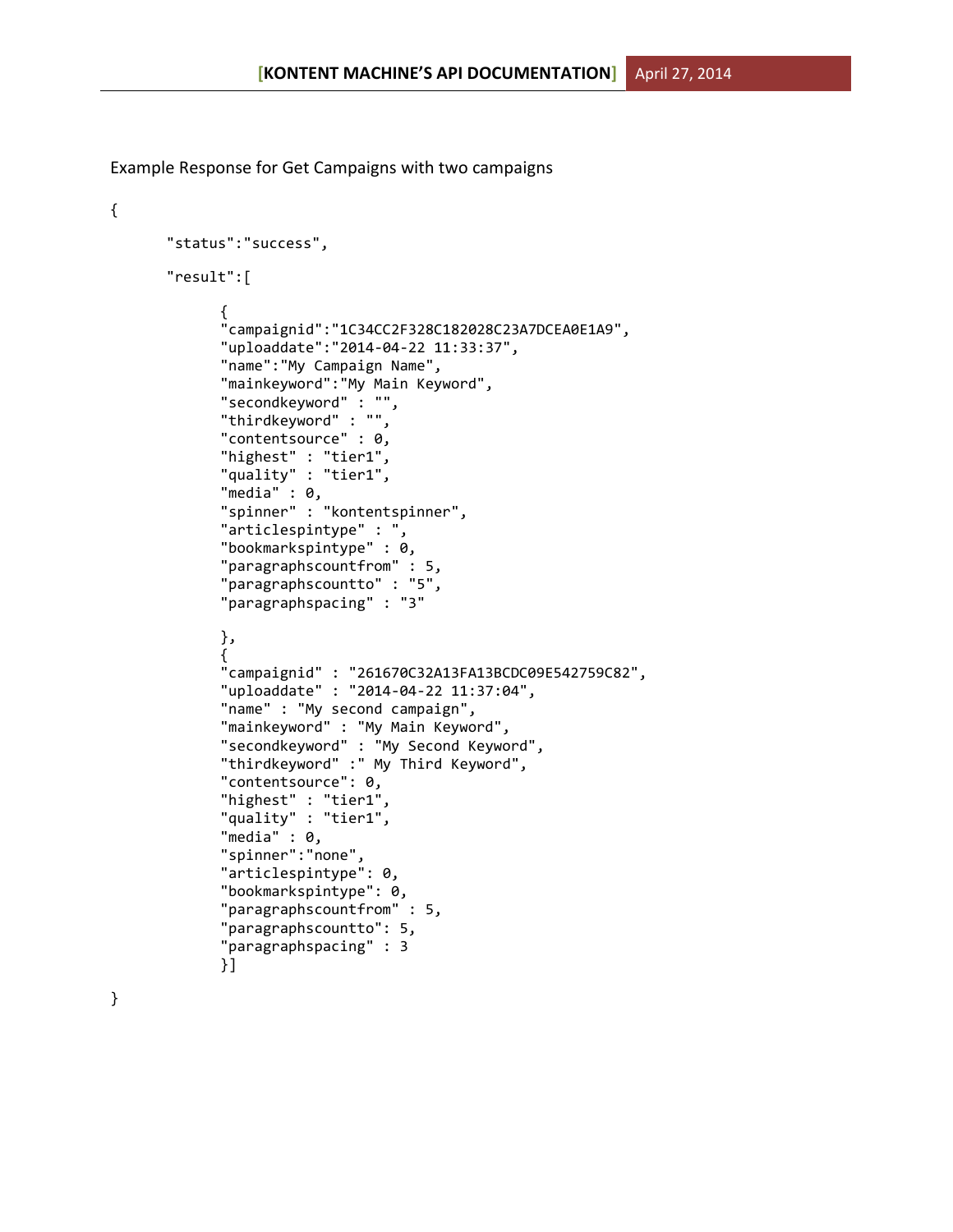Example Response for Get Campaigns with two campaigns

```
"status":"success",
"result":[
      {
      "campaignid":"1C34CC2F328C182028C23A7DCEA0E1A9",
      "uploaddate":"2014-04-22 11:33:37",
      "name":"My Campaign Name",
      "mainkeyword":"My Main Keyword",
      "secondkeyword" : "",
      "thirdkeyword" : "",
      "contentsource" : 0,
      "highest" : "tier1",
      "quality" : "tier1",
      "media" : 0,"spinner" : "kontentspinner",
      "articlespintype" : ",
      "bookmarkspintype" : 0,
      "paragraphscountfrom" : 5,
      "paragraphscountto" : "5",
      "paragraphspacing" : "3"
      },
      {
      "campaignid" : "261670C32A13FA13BCDC09E542759C82",
      "uploaddate" : "2014-04-22 11:37:04",
      "name" : "My second campaign",
      "mainkeyword" : "My Main Keyword",
      "secondkeyword" : "My Second Keyword",
      "thirdkeyword" :" My Third Keyword",
      "contentsource": 0,
      "highest" : "tier1",
      "quality" : "tier1",
      "media" : 0,
      "spinner":"none",
      "articlespintype": 0,
      "bookmarkspintype": 0,
      "paragraphscountfrom" : 5,
      "paragraphscountto": 5,
      "paragraphspacing" : 3
      }]
```
}

{